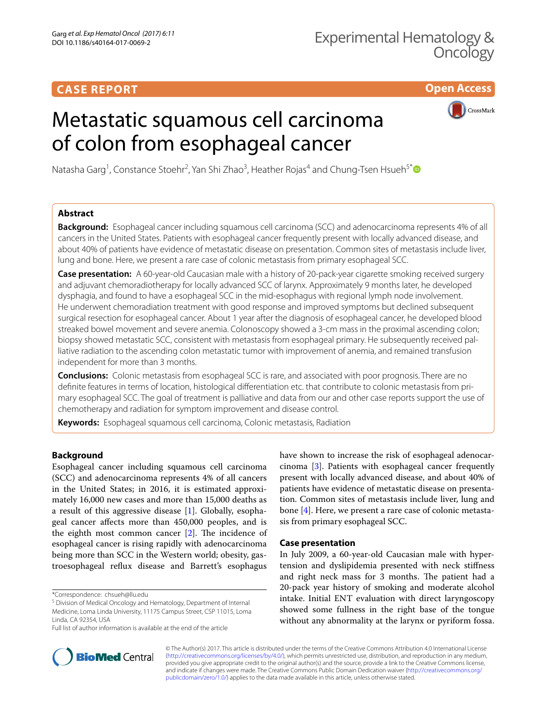# **CASE REPORT**

**Open Access**

# Metastatic squamous cell carcinoma of colon from esophageal cancer



Natasha Garg<sup>1</sup>, Constance Stoehr<sup>2</sup>, Yan Shi Zhao<sup>3</sup>, Heather Rojas<sup>4</sup> and Chung-Tsen Hsueh<sup>5[\\*](http://orcid.org/0000-0002-1409-0030)</sup>

## **Abstract**

**Background:** Esophageal cancer including squamous cell carcinoma (SCC) and adenocarcinoma represents 4% of all cancers in the United States. Patients with esophageal cancer frequently present with locally advanced disease, and about 40% of patients have evidence of metastatic disease on presentation. Common sites of metastasis include liver, lung and bone. Here, we present a rare case of colonic metastasis from primary esophageal SCC.

**Case presentation:** A 60-year-old Caucasian male with a history of 20-pack-year cigarette smoking received surgery and adjuvant chemoradiotherapy for locally advanced SCC of larynx. Approximately 9 months later, he developed dysphagia, and found to have a esophageal SCC in the mid-esophagus with regional lymph node involvement. He underwent chemoradiation treatment with good response and improved symptoms but declined subsequent surgical resection for esophageal cancer. About 1 year after the diagnosis of esophageal cancer, he developed blood streaked bowel movement and severe anemia. Colonoscopy showed a 3-cm mass in the proximal ascending colon; biopsy showed metastatic SCC, consistent with metastasis from esophageal primary. He subsequently received palliative radiation to the ascending colon metastatic tumor with improvement of anemia, and remained transfusion independent for more than 3 months.

**Conclusions:** Colonic metastasis from esophageal SCC is rare, and associated with poor prognosis. There are no definite features in terms of location, histological differentiation etc. that contribute to colonic metastasis from primary esophageal SCC. The goal of treatment is palliative and data from our and other case reports support the use of chemotherapy and radiation for symptom improvement and disease control.

**Keywords:** Esophageal squamous cell carcinoma, Colonic metastasis, Radiation

## **Background**

Esophageal cancer including squamous cell carcinoma (SCC) and adenocarcinoma represents 4% of all cancers in the United States; in 2016, it is estimated approximately 16,000 new cases and more than 15,000 deaths as a result of this aggressive disease [\[1](#page-3-0)]. Globally, esophageal cancer afects more than 450,000 peoples, and is the eighth most common cancer  $[2]$  $[2]$ . The incidence of esophageal cancer is rising rapidly with adenocarcinoma being more than SCC in the Western world; obesity, gastroesophageal refux disease and Barrett's esophagus

\*Correspondence: chsueh@llu.edu

<sup>5</sup> Division of Medical Oncology and Hematology, Department of Internal Medicine, Loma Linda University, 11175 Campus Street, CSP 11015, Loma Linda, CA 92354, USA



## **Case presentation**

In July 2009, a 60-year-old Caucasian male with hypertension and dyslipidemia presented with neck stifness and right neck mass for 3 months. The patient had a 20-pack year history of smoking and moderate alcohol intake. Initial ENT evaluation with direct laryngoscopy showed some fullness in the right base of the tongue without any abnormality at the larynx or pyriform fossa.



© The Author(s) 2017. This article is distributed under the terms of the Creative Commons Attribution 4.0 International License [\(http://creativecommons.org/licenses/by/4.0/\)](http://creativecommons.org/licenses/by/4.0/), which permits unrestricted use, distribution, and reproduction in any medium, provided you give appropriate credit to the original author(s) and the source, provide a link to the Creative Commons license, and indicate if changes were made. The Creative Commons Public Domain Dedication waiver ([http://creativecommons.org/](http://creativecommons.org/publicdomain/zero/1.0/) [publicdomain/zero/1.0/](http://creativecommons.org/publicdomain/zero/1.0/)) applies to the data made available in this article, unless otherwise stated.

Full list of author information is available at the end of the article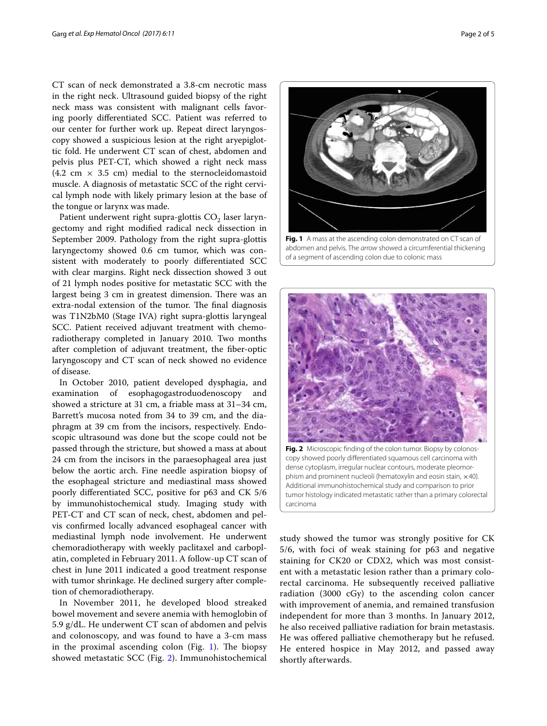CT scan of neck demonstrated a 3.8-cm necrotic mass in the right neck. Ultrasound guided biopsy of the right neck mass was consistent with malignant cells favoring poorly diferentiated SCC. Patient was referred to our center for further work up. Repeat direct laryngoscopy showed a suspicious lesion at the right aryepiglottic fold. He underwent CT scan of chest, abdomen and pelvis plus PET-CT, which showed a right neck mass (4.2 cm  $\times$  3.5 cm) medial to the sternocleidomastoid muscle. A diagnosis of metastatic SCC of the right cervical lymph node with likely primary lesion at the base of the tongue or larynx was made.

Patient underwent right supra-glottis  $CO<sub>2</sub>$  laser laryngectomy and right modifed radical neck dissection in September 2009. Pathology from the right supra-glottis laryngectomy showed 0.6 cm tumor, which was consistent with moderately to poorly diferentiated SCC with clear margins. Right neck dissection showed 3 out of 21 lymph nodes positive for metastatic SCC with the largest being 3 cm in greatest dimension. There was an extra-nodal extension of the tumor. The final diagnosis was T1N2bM0 (Stage IVA) right supra-glottis laryngeal SCC. Patient received adjuvant treatment with chemoradiotherapy completed in January 2010. Two months after completion of adjuvant treatment, the fber-optic laryngoscopy and CT scan of neck showed no evidence of disease.

In October 2010, patient developed dysphagia, and examination of esophagogastroduodenoscopy and showed a stricture at 31 cm, a friable mass at 31–34 cm, Barrett's mucosa noted from 34 to 39 cm, and the diaphragm at 39 cm from the incisors, respectively. Endoscopic ultrasound was done but the scope could not be passed through the stricture, but showed a mass at about 24 cm from the incisors in the paraesophageal area just below the aortic arch. Fine needle aspiration biopsy of the esophageal stricture and mediastinal mass showed poorly diferentiated SCC, positive for p63 and CK 5/6 by immunohistochemical study. Imaging study with PET-CT and CT scan of neck, chest, abdomen and pelvis confrmed locally advanced esophageal cancer with mediastinal lymph node involvement. He underwent chemoradiotherapy with weekly paclitaxel and carboplatin, completed in February 2011. A follow-up CT scan of chest in June 2011 indicated a good treatment response with tumor shrinkage. He declined surgery after completion of chemoradiotherapy.

In November 2011, he developed blood streaked bowel movement and severe anemia with hemoglobin of 5.9 g/dL. He underwent CT scan of abdomen and pelvis and colonoscopy, and was found to have a 3-cm mass in the proximal ascending colon (Fig.  $1$ ). The biopsy showed metastatic SCC (Fig. [2](#page-1-1)). Immunohistochemical

<span id="page-1-0"></span>of a segment of ascending colon due to colonic mass



study showed the tumor was strongly positive for CK 5/6, with foci of weak staining for p63 and negative staining for CK20 or CDX2, which was most consistent with a metastatic lesion rather than a primary colorectal carcinoma. He subsequently received palliative radiation (3000 cGy) to the ascending colon cancer with improvement of anemia, and remained transfusion independent for more than 3 months. In January 2012, he also received palliative radiation for brain metastasis. He was ofered palliative chemotherapy but he refused. He entered hospice in May 2012, and passed away shortly afterwards.

<span id="page-1-1"></span>carcinoma

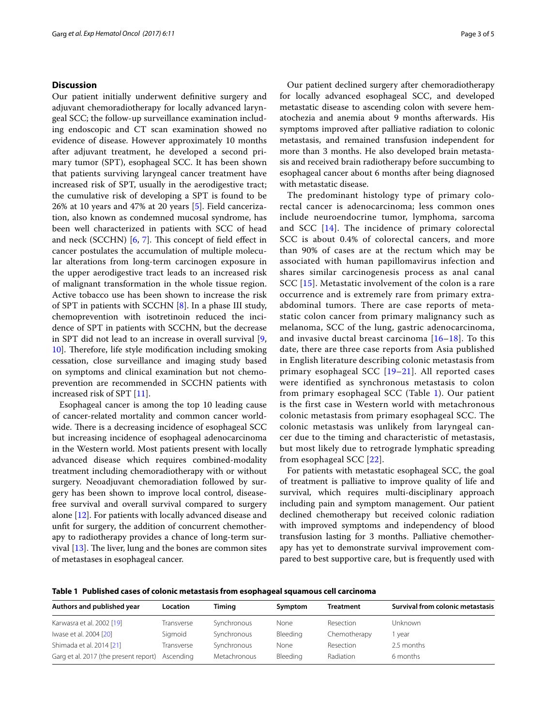## **Discussion**

Our patient initially underwent defnitive surgery and adjuvant chemoradiotherapy for locally advanced laryngeal SCC; the follow-up surveillance examination including endoscopic and CT scan examination showed no evidence of disease. However approximately 10 months after adjuvant treatment, he developed a second primary tumor (SPT), esophageal SCC. It has been shown that patients surviving laryngeal cancer treatment have increased risk of SPT, usually in the aerodigestive tract; the cumulative risk of developing a SPT is found to be 26% at 10 years and 47% at 20 years [\[5](#page-3-4)]. Field cancerization, also known as condemned mucosal syndrome, has been well characterized in patients with SCC of head and neck (SCCHN) [[6](#page-3-5), [7\]](#page-3-6). This concept of field effect in cancer postulates the accumulation of multiple molecular alterations from long-term carcinogen exposure in the upper aerodigestive tract leads to an increased risk of malignant transformation in the whole tissue region. Active tobacco use has been shown to increase the risk of SPT in patients with SCCHN [\[8](#page-3-7)]. In a phase III study, chemoprevention with isotretinoin reduced the incidence of SPT in patients with SCCHN, but the decrease in SPT did not lead to an increase in overall survival [\[9](#page-3-8), [10\]](#page-3-9). Therefore, life style modification including smoking cessation, close surveillance and imaging study based on symptoms and clinical examination but not chemoprevention are recommended in SCCHN patients with increased risk of SPT [[11\]](#page-3-10).

Esophageal cancer is among the top 10 leading cause of cancer-related mortality and common cancer worldwide. There is a decreasing incidence of esophageal SCC but increasing incidence of esophageal adenocarcinoma in the Western world. Most patients present with locally advanced disease which requires combined-modality treatment including chemoradiotherapy with or without surgery. Neoadjuvant chemoradiation followed by surgery has been shown to improve local control, diseasefree survival and overall survival compared to surgery alone [\[12](#page-3-11)]. For patients with locally advanced disease and unft for surgery, the addition of concurrent chemotherapy to radiotherapy provides a chance of long-term survival  $[13]$  $[13]$ . The liver, lung and the bones are common sites of metastases in esophageal cancer.

Our patient declined surgery after chemoradiotherapy for locally advanced esophageal SCC, and developed metastatic disease to ascending colon with severe hematochezia and anemia about 9 months afterwards. His symptoms improved after palliative radiation to colonic metastasis, and remained transfusion independent for more than 3 months. He also developed brain metastasis and received brain radiotherapy before succumbing to esophageal cancer about 6 months after being diagnosed with metastatic disease.

The predominant histology type of primary colorectal cancer is adenocarcinoma; less common ones include neuroendocrine tumor, lymphoma, sarcoma and SCC [[14\]](#page-3-13). The incidence of primary colorectal SCC is about 0.4% of colorectal cancers, and more than 90% of cases are at the rectum which may be associated with human papillomavirus infection and shares similar carcinogenesis process as anal canal SCC [[15](#page-3-14)]. Metastatic involvement of the colon is a rare occurrence and is extremely rare from primary extraabdominal tumors. There are case reports of metastatic colon cancer from primary malignancy such as melanoma, SCC of the lung, gastric adenocarcinoma, and invasive ductal breast carcinoma  $[16-18]$  $[16-18]$  $[16-18]$ . To this date, there are three case reports from Asia published in English literature describing colonic metastasis from primary esophageal SCC [\[19–](#page-3-17)[21\]](#page-4-0). All reported cases were identified as synchronous metastasis to colon from primary esophageal SCC (Table [1\)](#page-2-0). Our patient is the first case in Western world with metachronous colonic metastasis from primary esophageal SCC. The colonic metastasis was unlikely from laryngeal cancer due to the timing and characteristic of metastasis, but most likely due to retrograde lymphatic spreading from esophageal SCC [[22\]](#page-4-1).

For patients with metastatic esophageal SCC, the goal of treatment is palliative to improve quality of life and survival, which requires multi-disciplinary approach including pain and symptom management. Our patient declined chemotherapy but received colonic radiation with improved symptoms and independency of blood transfusion lasting for 3 months. Palliative chemotherapy has yet to demonstrate survival improvement compared to best supportive care, but is frequently used with

<span id="page-2-0"></span>**Table 1 Published cases of colonic metastasis from esophageal squamous cell carcinoma**

| Authors and published year            | <b>Location</b> | Timing       | Symptom  | <b>Treatment</b> | Survival from colonic metastasis |
|---------------------------------------|-----------------|--------------|----------|------------------|----------------------------------|
| Karwasra et al. 2002 [19]             | Transverse      | Synchronous  | None     | Resection        | Unknown                          |
| Iwase et al. 2004 [20]                | Sigmoid         | Synchronous  | Bleeding | Chemotherapy     | l year                           |
| Shimada et al. 2014 [21]              | Transverse      | Synchronous  | None     | Resection        | 2.5 months                       |
| Garg et al. 2017 (the present report) | Ascendina       | Metachronous | Bleeding | Radiation        | 6 months                         |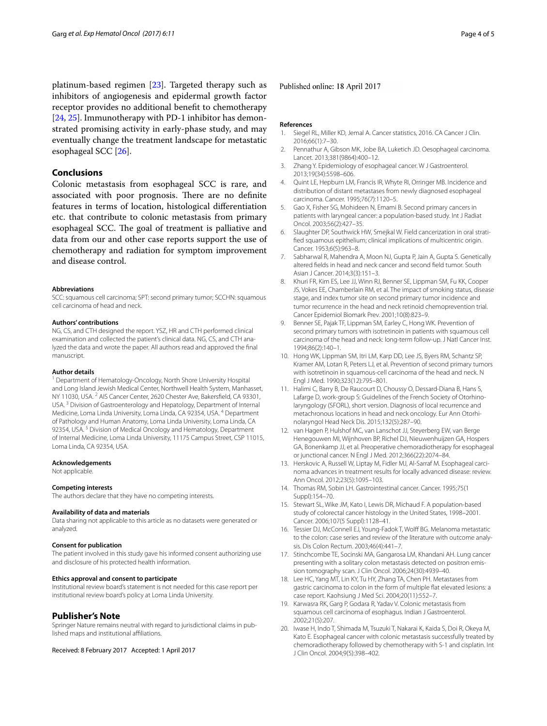platinum-based regimen [[23](#page-4-2)]. Targeted therapy such as inhibitors of angiogenesis and epidermal growth factor receptor provides no additional beneft to chemotherapy [[24,](#page-4-3) [25\]](#page-4-4). Immunotherapy with PD-1 inhibitor has demonstrated promising activity in early-phase study, and may eventually change the treatment landscape for metastatic esophageal SCC [\[26\]](#page-4-5).

### **Conclusions**

Colonic metastasis from esophageal SCC is rare, and associated with poor prognosis. There are no definite features in terms of location, histological diferentiation etc. that contribute to colonic metastasis from primary esophageal SCC. The goal of treatment is palliative and data from our and other case reports support the use of chemotherapy and radiation for symptom improvement and disease control.

#### **Abbreviations**

SCC: squamous cell carcinoma; SPT: second primary tumor; SCCHN: squamous cell carcinoma of head and neck.

#### **Authors' contributions**

NG, CS, and CTH designed the report. YSZ, HR and CTH performed clinical examination and collected the patient's clinical data. NG, CS, and CTH analyzed the data and wrote the paper. All authors read and approved the fnal manuscript.

#### **Author details**

<sup>1</sup> Department of Hematology-Oncology, North Shore University Hospital and Long Island Jewish Medical Center, Northwell Health System, Manhasset, NY 11030, USA.<sup>2</sup> AIS Cancer Center, 2620 Chester Ave, Bakersfield, CA 93301, USA. 3 Division of Gastroenterology and Hepatology, Department of Internal Medicine, Loma Linda University, Loma Linda, CA 92354, USA. <sup>4</sup> Department of Pathology and Human Anatomy, Loma Linda University, Loma Linda, CA 92354, USA.<sup>5</sup> Division of Medical Oncology and Hematology, Department of Internal Medicine, Loma Linda University, 11175 Campus Street, CSP 11015, Loma Linda, CA 92354, USA.

#### **Acknowledgements**

Not applicable.

#### **Competing interests**

The authors declare that they have no competing interests.

#### **Availability of data and materials**

Data sharing not applicable to this article as no datasets were generated or analyzed.

#### **Consent for publication**

The patient involved in this study gave his informed consent authorizing use and disclosure of his protected health information.

#### **Ethics approval and consent to participate**

Institutional review board's statement is not needed for this case report per institutional review board's policy at Loma Linda University.

#### **Publisher's Note**

Springer Nature remains neutral with regard to jurisdictional claims in published maps and institutional affiliations.

Received: 8 February 2017 Accepted: 1 April 2017

#### Published online: 18 April 2017

#### **References**

- <span id="page-3-0"></span>Siegel RL, Miller KD, Jemal A. Cancer statistics, 2016. CA Cancer J Clin. 2016;66(1):7–30.
- <span id="page-3-1"></span>Pennathur A, Gibson MK, Jobe BA, Luketich JD. Oesophageal carcinoma. Lancet. 2013;381(9864):400–12.
- <span id="page-3-2"></span>3. Zhang Y. Epidemiology of esophageal cancer. W J Gastroenterol. 2013;19(34):5598–606.
- <span id="page-3-3"></span>4. Quint LE, Hepburn LM, Francis IR, Whyte RI, Orringer MB. Incidence and distribution of distant metastases from newly diagnosed esophageal carcinoma. Cancer. 1995;76(7):1120–5.
- <span id="page-3-4"></span>5. Gao X, Fisher SG, Mohideen N, Emami B. Second primary cancers in patients with laryngeal cancer: a population-based study. Int J Radiat Oncol. 2003;56(2):427–35.
- <span id="page-3-5"></span>6. Slaughter DP, Southwick HW, Smejkal W. Field cancerization in oral stratifed squamous epithelium; clinical implications of multicentric origin. Cancer. 1953;6(5):963–8.
- <span id="page-3-6"></span>7. Sabharwal R, Mahendra A, Moon NJ, Gupta P, Jain A, Gupta S. Genetically altered felds in head and neck cancer and second feld tumor. South Asian J Cancer. 2014;3(3):151–3.
- <span id="page-3-7"></span>8. Khuri FR, Kim ES, Lee JJ, Winn RJ, Benner SE, Lippman SM, Fu KK, Cooper JS, Vokes EE, Chamberlain RM, et al. The impact of smoking status, disease stage, and index tumor site on second primary tumor incidence and tumor recurrence in the head and neck retinoid chemoprevention trial. Cancer Epidemiol Biomark Prev. 2001;10(8):823–9.
- <span id="page-3-8"></span>9. Benner SE, Pajak TF, Lippman SM, Earley C, Hong WK. Prevention of second primary tumors with isotretinoin in patients with squamous cell carcinoma of the head and neck: long-term follow-up. J Natl Cancer Inst. 1994;86(2):140–1.
- <span id="page-3-9"></span>10. Hong WK, Lippman SM, Itri LM, Karp DD, Lee JS, Byers RM, Schantz SP, Kramer AM, Lotan R, Peters LJ, et al. Prevention of second primary tumors with isotretinoin in squamous-cell carcinoma of the head and neck. N Engl J Med. 1990;323(12):795–801.
- <span id="page-3-10"></span>11. Halimi C, Barry B, De Raucourt D, Choussy O, Dessard-Diana B, Hans S, Lafarge D, work-group S: Guidelines of the French Society of Otorhinolaryngology (SFORL), short version. Diagnosis of local recurrence and metachronous locations in head and neck oncology. Eur Ann Otorhinolaryngol Head Neck Dis. 2015;132(5):287–90.
- <span id="page-3-11"></span>12. van Hagen P, Hulshof MC, van Lanschot JJ, Steyerberg EW, van Berge Henegouwen MI, Wijnhoven BP, Richel DJ, Nieuwenhuijzen GA, Hospers GA, Bonenkamp JJ, et al. Preoperative chemoradiotherapy for esophageal or junctional cancer. N Engl J Med. 2012;366(22):2074–84.
- <span id="page-3-12"></span>13. Herskovic A, Russell W, Liptay M, Fidler MJ, Al-Sarraf M. Esophageal carcinoma advances in treatment results for locally advanced disease: review. Ann Oncol. 2012;23(5):1095–103.
- <span id="page-3-13"></span>14. Thomas RM, Sobin LH. Gastrointestinal cancer. Cancer. 1995;75(1 Suppl):154–70.
- <span id="page-3-14"></span>15. Stewart SL, Wike JM, Kato I, Lewis DR, Michaud F. A population-based study of colorectal cancer histology in the United States, 1998–2001. Cancer. 2006;107(5 Suppl):1128–41.
- <span id="page-3-15"></span>16. Tessier DJ, McConnell EJ, Young-Fadok T, Wolff BG. Melanoma metastatic to the colon: case series and review of the literature with outcome analysis. Dis Colon Rectum. 2003;46(4):441–7.
- 17. Stinchcombe TE, Socinski MA, Gangarosa LM, Khandani AH. Lung cancer presenting with a solitary colon metastasis detected on positron emission tomography scan. J Clin Oncol. 2006;24(30):4939–40.
- <span id="page-3-16"></span>18. Lee HC, Yang MT, Lin KY, Tu HY, Zhang TA, Chen PH. Metastases from gastric carcinoma to colon in the form of multiple fat elevated lesions: a case report. Kaohsiung J Med Sci. 2004;20(11):552–7.
- <span id="page-3-17"></span>19. Karwasra RK, Garg P, Godara R, Yadav V. Colonic metastasis from squamous cell carcinoma of esophagus. Indian J Gastroenterol. 2002;21(5):207.
- <span id="page-3-18"></span>20. Iwase H, Indo T, Shimada M, Tsuzuki T, Nakarai K, Kaida S, Doi R, Okeya M, Kato E. Esophageal cancer with colonic metastasis successfully treated by chemoradiotherapy followed by chemotherapy with S-1 and cisplatin. Int J Clin Oncol. 2004;9(5):398–402.